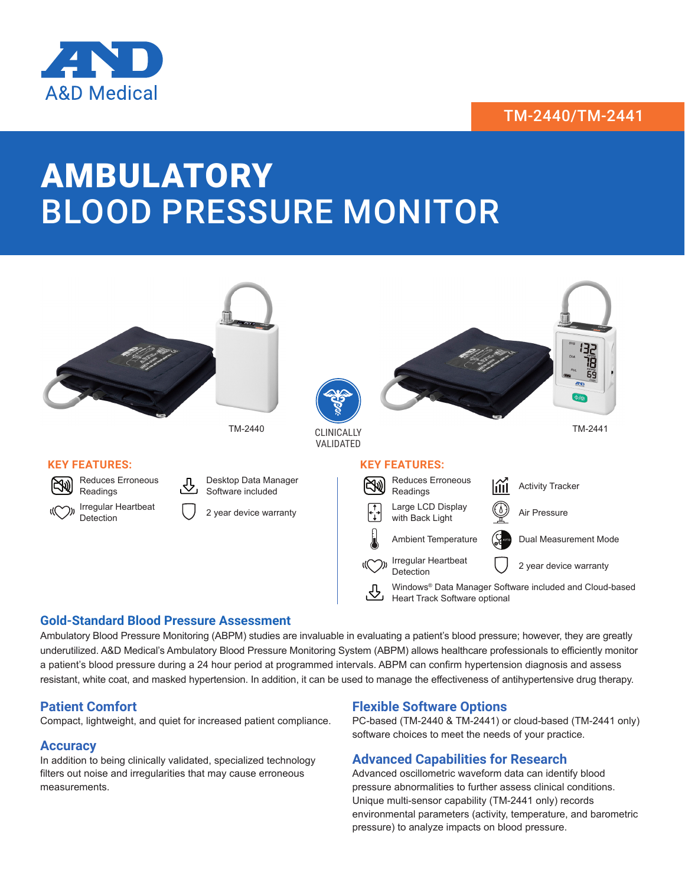## TM-2440/TM-2441



# AMBULATORY BLOOD PRESSURE MONITOR



### **Gold-Standard Blood Pressure Assessment**

Ambulatory Blood Pressure Monitoring (ABPM) studies are invaluable in evaluating a patient's blood pressure; however, they are greatly underutilized. A&D Medical's Ambulatory Blood Pressure Monitoring System (ABPM) allows healthcare professionals to efficiently monitor a patient's blood pressure during a 24 hour period at programmed intervals. ABPM can confirm hypertension diagnosis and assess resistant, white coat, and masked hypertension. In addition, it can be used to manage the effectiveness of antihypertensive drug therapy.

### **Patient Comfort**

Compact, lightweight, and quiet for increased patient compliance.

### **Accuracy**

In addition to being clinically validated, specialized technology filters out noise and irregularities that may cause erroneous measurements.

### **Flexible Software Options**

PC-based (TM-2440 & TM-2441) or cloud-based (TM-2441 only) software choices to meet the needs of your practice.

### **Advanced Capabilities for Research**

Advanced oscillometric waveform data can identify blood pressure abnormalities to further assess clinical conditions. Unique multi-sensor capability (TM-2441 only) records environmental parameters (activity, temperature, and barometric pressure) to analyze impacts on blood pressure.